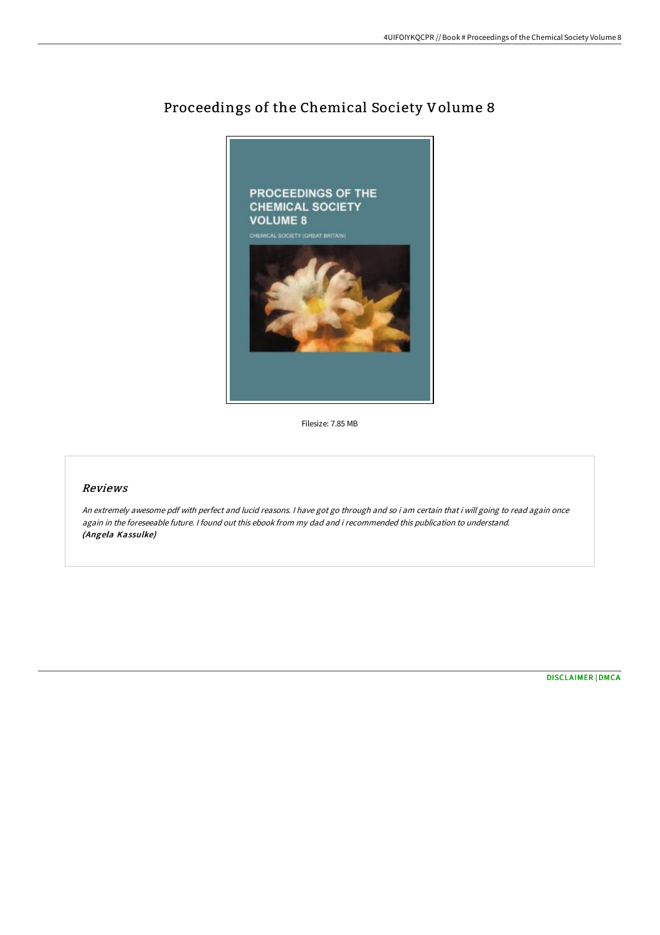

## Proceedings of the Chemical Society Volume 8

Filesize: 7.85 MB

## Reviews

An extremely awesome pdf with perfect and lucid reasons. <sup>I</sup> have got go through and so i am certain that i will going to read again once again in the foreseeable future. <sup>I</sup> found out this ebook from my dad and i recommended this publication to understand. (Angela Kassulke)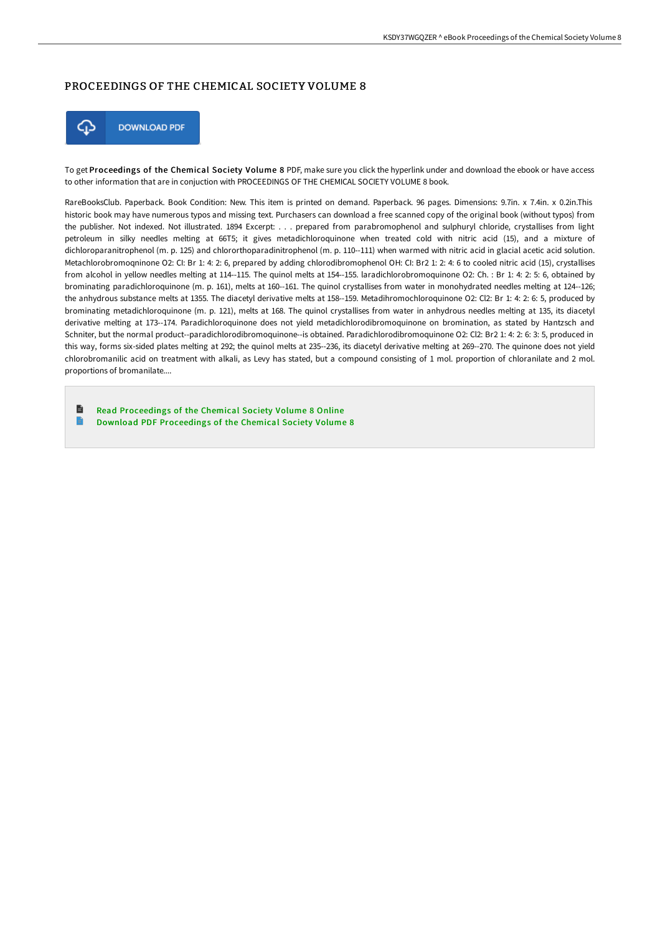## PROCEEDINGS OF THE CHEMICAL SOCIETY VOLUME 8



To get Proceedings of the Chemical Society Volume 8 PDF, make sure you click the hyperlink under and download the ebook or have access to other information that are in conjuction with PROCEEDINGS OF THE CHEMICAL SOCIETY VOLUME 8 book.

RareBooksClub. Paperback. Book Condition: New. This item is printed on demand. Paperback. 96 pages. Dimensions: 9.7in. x 7.4in. x 0.2in.This historic book may have numerous typos and missing text. Purchasers can download a free scanned copy of the original book (without typos) from the publisher. Not indexed. Not illustrated. 1894 Excerpt: . . . prepared from parabromophenol and sulphuryl chloride, crystallises from light petroleum in silky needles melting at 66T5; it gives metadichloroquinone when treated cold with nitric acid (15), and a mixture of dichloroparanitrophenol (m. p. 125) and chlororthoparadinitrophenol (m. p. 110--111) when warmed with nitric acid in glacial acetic acid solution. Metachlorobromoqninone O2: CI: Br 1: 4: 2: 6, prepared by adding chlorodibromophenol OH: CI: Br2 1: 2: 4: 6 to cooled nitric acid (15), crystallises from alcohol in yellow needles melting at 114--115. The quinol melts at 154--155. laradichlorobromoquinone O2: Ch. : Br 1: 4: 2: 5: 6, obtained by brominating paradichloroquinone (m. p. 161), melts at 160--161. The quinol crystallises from water in monohydrated needles melting at 124--126; the anhydrous substance melts at 1355. The diacetyl derivative melts at 158--159. Metadihromochloroquinone O2: Cl2: Br 1: 4: 2: 6: 5, produced by brominating metadichloroquinone (m. p. 121), melts at 168. The quinol crystallises from water in anhydrous needles melting at 135, its diacetyl derivative melting at 173--174. Paradichloroquinone does not yield metadichlorodibromoquinone on bromination, as stated by Hantzsch and Schniter, but the normal product--paradichlorodibromoquinone--is obtained. Paradichlorodibromoquinone O2: Cl2: Br2 1: 4: 2: 6: 3: 5, produced in this way, forms six-sided plates melting at 292; the quinol melts at 235--236, its diacetyl derivative melting at 269--270. The quinone does not yield chlorobromanilic acid on treatment with alkali, as Levy has stated, but a compound consisting of 1 mol. proportion of chloranilate and 2 mol. proportions of bromanilate....

h Read [Proceedings](http://www.bookdirs.com/proceedings-of-the-chemical-society-volume-8.html) of the Chemical Society Volume 8 Online  $\blacksquare$ Download PDF [Proceedings](http://www.bookdirs.com/proceedings-of-the-chemical-society-volume-8.html) of the Chemical Society Volume 8